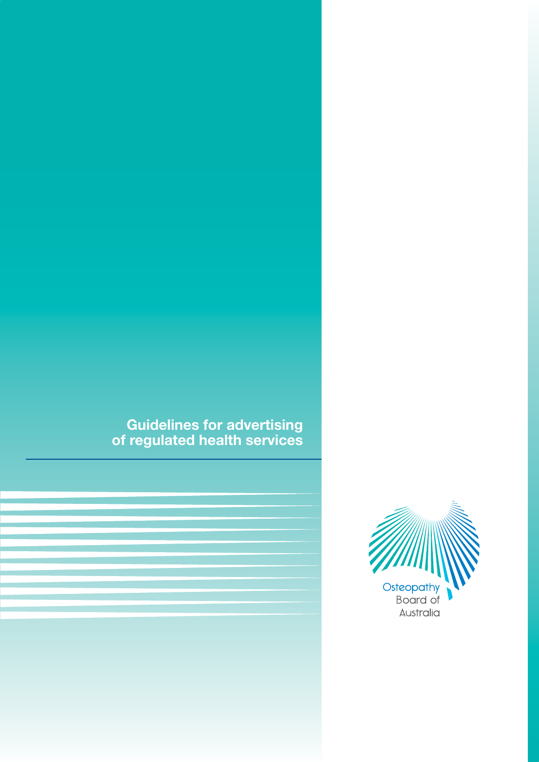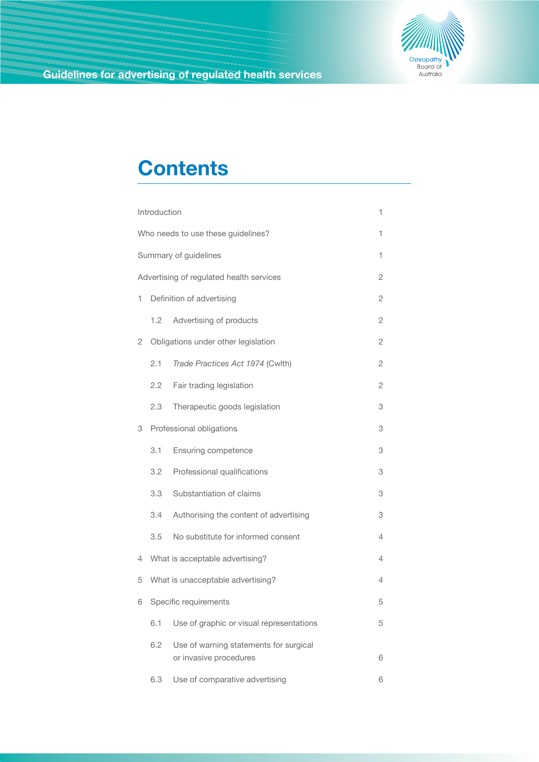

# **Contents**

|                                               | Introduction                            |                                                                  | 1              |  |  |
|-----------------------------------------------|-----------------------------------------|------------------------------------------------------------------|----------------|--|--|
|                                               | Who needs to use these guidelines?<br>1 |                                                                  |                |  |  |
|                                               | Summary of guidelines<br>1              |                                                                  |                |  |  |
| Advertising of regulated health services<br>2 |                                         |                                                                  |                |  |  |
| 1                                             | Definition of advertising               |                                                                  |                |  |  |
|                                               | 1.2                                     | Advertising of products                                          | $\overline{c}$ |  |  |
| 2                                             | Obligations under other legislation     |                                                                  |                |  |  |
|                                               | 2.1                                     | Trade Practices Act 1974 (Cwlth)                                 | $\overline{c}$ |  |  |
|                                               | 2.2                                     | Fair trading legislation                                         | $\overline{c}$ |  |  |
|                                               | 2.3                                     | Therapeutic goods legislation                                    | 3              |  |  |
| 3                                             | Professional obligations                |                                                                  | 3              |  |  |
|                                               | 3.1                                     | Ensuring competence                                              | 3              |  |  |
|                                               | 3.2                                     | Professional qualifications                                      | 3              |  |  |
|                                               | 3.3                                     | Substantiation of claims                                         | 3              |  |  |
|                                               | 3.4                                     | Authorising the content of advertising                           | 3              |  |  |
|                                               | 3.5                                     | No substitute for informed consent                               | 4              |  |  |
| 4                                             |                                         | What is acceptable advertising?                                  | 4              |  |  |
| 5                                             |                                         | What is unacceptable advertising?                                | 4              |  |  |
| 6                                             | Specific requirements                   |                                                                  |                |  |  |
|                                               | 6.1                                     | Use of graphic or visual representations                         | 5              |  |  |
|                                               | 6.2                                     | Use of warning statements for surgical<br>or invasive procedures | 6              |  |  |
|                                               | 6.3                                     | Use of comparative advertising                                   | 6              |  |  |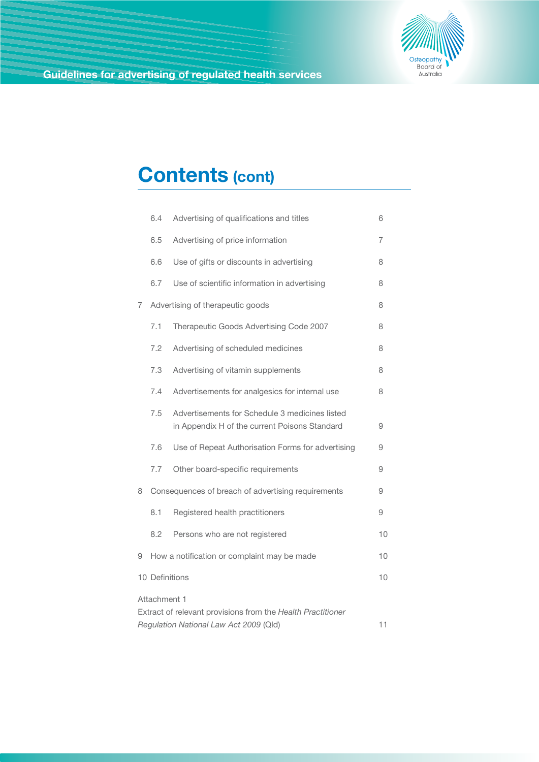

# **Contents (cont)**

|   | 6.4                                                | Advertising of qualifications and titles                                                              | 6  |
|---|----------------------------------------------------|-------------------------------------------------------------------------------------------------------|----|
|   | 6.5                                                | Advertising of price information                                                                      | 7  |
|   | 6.6                                                | Use of gifts or discounts in advertising                                                              | 8  |
|   | 6.7                                                | Use of scientific information in advertising                                                          | 8  |
| 7 | Advertising of therapeutic goods                   |                                                                                                       |    |
|   | 7.1                                                | Therapeutic Goods Advertising Code 2007                                                               | 8  |
|   | 7.2                                                | Advertising of scheduled medicines                                                                    | 8  |
|   | 7.3                                                | Advertising of vitamin supplements                                                                    | 8  |
|   | 7.4                                                | Advertisements for analgesics for internal use                                                        | 8  |
|   | 7.5                                                | Advertisements for Schedule 3 medicines listed<br>in Appendix H of the current Poisons Standard       | 9  |
|   | 7.6                                                | Use of Repeat Authorisation Forms for advertising                                                     | 9  |
|   | 7.7                                                | Other board-specific requirements                                                                     | 9  |
| 8 | Consequences of breach of advertising requirements |                                                                                                       |    |
|   | 8.1                                                | Registered health practitioners                                                                       | 9  |
|   | 8.2                                                | Persons who are not registered                                                                        | 10 |
| 9 |                                                    | How a notification or complaint may be made                                                           | 10 |
|   | 10 Definitions<br>10                               |                                                                                                       |    |
|   | Attachment 1                                       |                                                                                                       |    |
|   |                                                    | Extract of relevant provisions from the Health Practitioner<br>Regulation National Law Act 2009 (Qld) | 11 |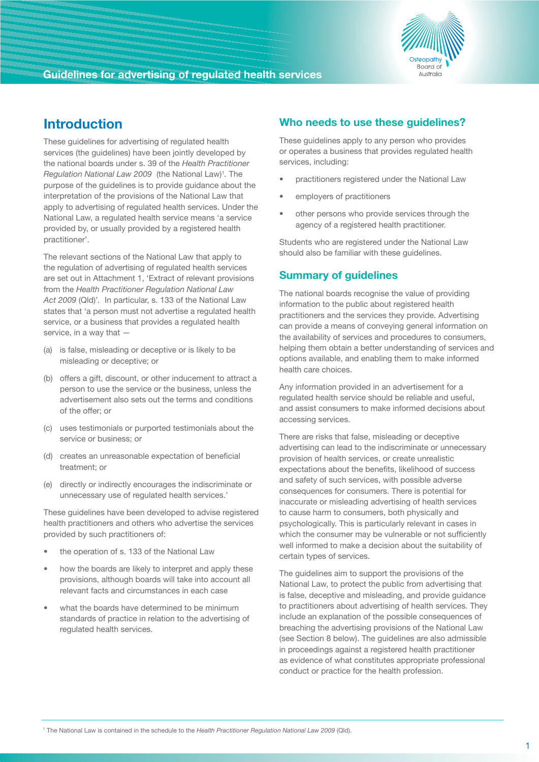

# **Introduction**

These guidelines for advertising of regulated health services (the guidelines) have been jointly developed by the national boards under s. 39 of the *Health Practitioner*  Regulation National Law 2009 (the National Law)<sup>1</sup>. The purpose of the guidelines is to provide guidance about the interpretation of the provisions of the National Law that apply to advertising of regulated health services. Under the National Law, a regulated health service means 'a service provided by, or usually provided by a registered health practitioner'.

The relevant sections of the National Law that apply to the regulation of advertising of regulated health services are set out in Attachment 1, 'Extract of relevant provisions from the *Health Practitioner Regulation National Law Act 2009* (Qld)'*.* In particular, s. 133 of the National Law states that 'a person must not advertise a regulated health service, or a business that provides a regulated health service, in a way that —

- (a) is false, misleading or deceptive or is likely to be misleading or deceptive; or
- (b) offers a gift, discount, or other inducement to attract a person to use the service or the business, unless the advertisement also sets out the terms and conditions of the offer; or
- (c) uses testimonials or purported testimonials about the service or business; or
- (d) creates an unreasonable expectation of beneficial treatment; or
- (e) directly or indirectly encourages the indiscriminate or unnecessary use of regulated health services.'

These guidelines have been developed to advise registered health practitioners and others who advertise the services provided by such practitioners of:

- the operation of s. 133 of the National Law
- how the boards are likely to interpret and apply these provisions, although boards will take into account all relevant facts and circumstances in each case
- what the boards have determined to be minimum standards of practice in relation to the advertising of regulated health services.

## **Who needs to use these guidelines?**

These guidelines apply to any person who provides or operates a business that provides regulated health services, including:

- practitioners registered under the National Law
- employers of practitioners
- other persons who provide services through the agency of a registered health practitioner.

Students who are registered under the National Law should also be familiar with these guidelines.

## **Summary of guidelines**

The national boards recognise the value of providing information to the public about registered health practitioners and the services they provide. Advertising can provide a means of conveying general information on the availability of services and procedures to consumers, helping them obtain a better understanding of services and options available, and enabling them to make informed health care choices.

Any information provided in an advertisement for a regulated health service should be reliable and useful, and assist consumers to make informed decisions about accessing services.

There are risks that false, misleading or deceptive advertising can lead to the indiscriminate or unnecessary provision of health services, or create unrealistic expectations about the benefits, likelihood of success and safety of such services, with possible adverse consequences for consumers. There is potential for inaccurate or misleading advertising of health services to cause harm to consumers, both physically and psychologically. This is particularly relevant in cases in which the consumer may be vulnerable or not sufficiently well informed to make a decision about the suitability of certain types of services.

The guidelines aim to support the provisions of the National Law, to protect the public from advertising that is false, deceptive and misleading, and provide guidance to practitioners about advertising of health services. They include an explanation of the possible consequences of breaching the advertising provisions of the National Law (see Section 8 below). The guidelines are also admissible in proceedings against a registered health practitioner as evidence of what constitutes appropriate professional conduct or practice for the health profession.

<sup>1</sup> The National Law is contained in the schedule to the *Health Practitioner Regulation National Law 2009* (Qld).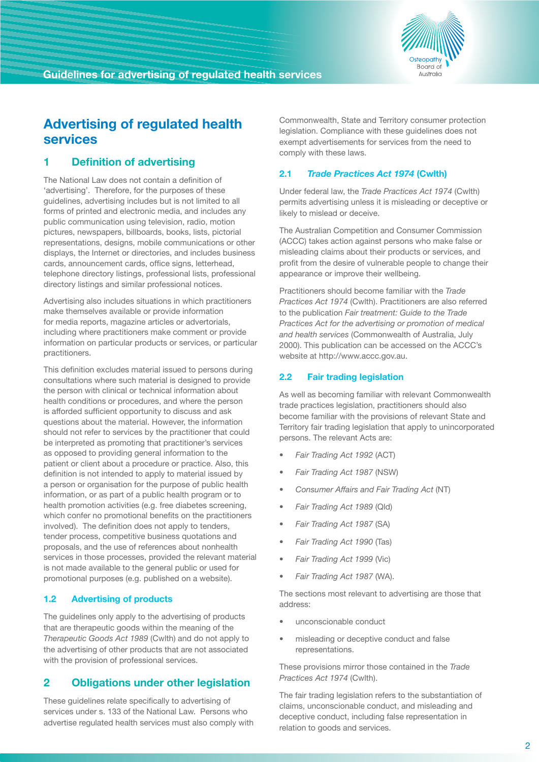

# **Advertising of regulated health services**

## **1 Definition of advertising**

The National Law does not contain a definition of 'advertising'. Therefore, for the purposes of these guidelines, advertising includes but is not limited to all forms of printed and electronic media, and includes any public communication using television, radio, motion pictures, newspapers, billboards, books, lists, pictorial representations, designs, mobile communications or other displays, the Internet or directories, and includes business cards, announcement cards, office signs, letterhead, telephone directory listings, professional lists, professional directory listings and similar professional notices.

Advertising also includes situations in which practitioners make themselves available or provide information for media reports, magazine articles or advertorials, including where practitioners make comment or provide information on particular products or services, or particular practitioners.

This definition excludes material issued to persons during consultations where such material is designed to provide the person with clinical or technical information about health conditions or procedures, and where the person is afforded sufficient opportunity to discuss and ask questions about the material. However, the information should not refer to services by the practitioner that could be interpreted as promoting that practitioner's services as opposed to providing general information to the patient or client about a procedure or practice. Also, this definition is not intended to apply to material issued by a person or organisation for the purpose of public health information, or as part of a public health program or to health promotion activities (e.g. free diabetes screening, which confer no promotional benefits on the practitioners involved). The definition does not apply to tenders, tender process, competitive business quotations and proposals, and the use of references about nonhealth services in those processes, provided the relevant material is not made available to the general public or used for promotional purposes (e.g. published on a website).

#### **1.2 Advertising of products**

The guidelines only apply to the advertising of products that are therapeutic goods within the meaning of the *Therapeutic Goods Act 1989* (Cwlth) and do not apply to the advertising of other products that are not associated with the provision of professional services.

## **2 Obligations under other legislation**

These guidelines relate specifically to advertising of services under s. 133 of the National Law. Persons who advertise regulated health services must also comply with Commonwealth, State and Territory consumer protection legislation. Compliance with these guidelines does not exempt advertisements for services from the need to comply with these laws.

## **2.1** *Trade Practices Act 1974* **(Cwlth)**

Under federal law, the *Trade Practices Act 1974* (Cwlth) permits advertising unless it is misleading or deceptive or likely to mislead or deceive.

The Australian Competition and Consumer Commission (ACCC) takes action against persons who make false or misleading claims about their products or services, and profit from the desire of vulnerable people to change their appearance or improve their wellbeing.

Practitioners should become familiar with the *Trade Practices Act 1974* (Cwlth). Practitioners are also referred to the publication *Fair treatment: Guide to the Trade Practices Act for the advertising or promotion of medical and health services* (Commonwealth of Australia, July 2000). This publication can be accessed on the ACCC's website at http://www.accc.gov.au.

## **2.2 Fair trading legislation**

As well as becoming familiar with relevant Commonwealth trade practices legislation, practitioners should also become familiar with the provisions of relevant State and Territory fair trading legislation that apply to unincorporated persons. The relevant Acts are:

- *• Fair Trading Act 1992* (ACT)
- *• Fair Trading Act 1987* (NSW)
- *Consumer Affairs and Fair Trading Act (NT)*
- *• Fair Trading Act 1989* (Qld)
- *Fair Trading Act 1987 (SA)*
- *• Fair Trading Act 1990* (Tas)
- *• Fair Trading Act 1999* (Vic)
- *Fair Trading Act 1987 (WA).*

The sections most relevant to advertising are those that address:

- unconscionable conduct
- misleading or deceptive conduct and false representations.

These provisions mirror those contained in the *Trade Practices Act 1974* (Cwlth).

The fair trading legislation refers to the substantiation of claims, unconscionable conduct, and misleading and deceptive conduct, including false representation in relation to goods and services.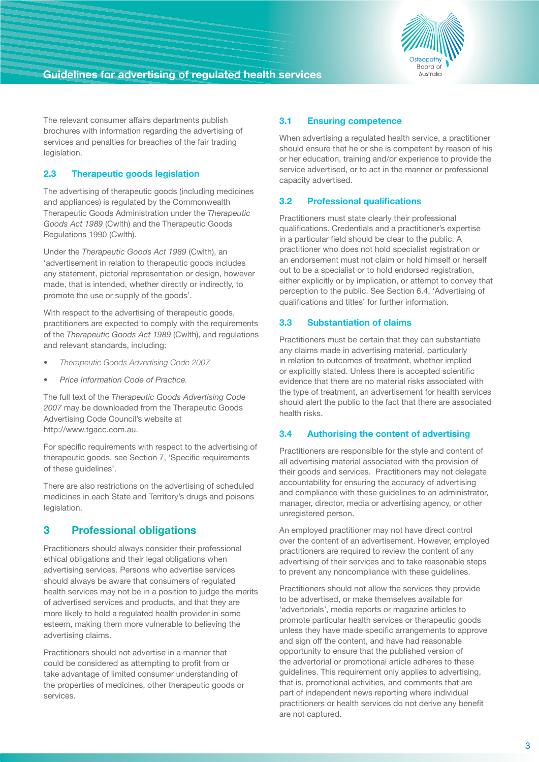

The relevant consumer affairs departments publish brochures with information regarding the advertising of services and penalties for breaches of the fair trading legislation.

## **2.3 Therapeutic goods legislation**

The advertising of therapeutic goods (including medicines and appliances) is regulated by the Commonwealth Therapeutic Goods Administration under the *Therapeutic Goods Act 1989* (Cwlth) and the Therapeutic Goods Regulations 1990 (Cwlth).

Under the *Therapeutic Goods Act 1989* (Cwlth), an 'advertisement in relation to therapeutic goods includes any statement, pictorial representation or design, however made, that is intended, whether directly or indirectly, to promote the use or supply of the goods'.

With respect to the advertising of therapeutic goods, practitioners are expected to comply with the requirements of the *Therapeutic Goods Act 1989* (Cwlth), and regulations and relevant standards, including:

- *• Therapeutic Goods Advertising Code 2007*
- *• Price Information Code of Practice.*

The full text of the *Therapeutic Goods Advertising Code 2007* may be downloaded from the Therapeutic Goods Advertising Code Council's website at http://www.tgacc.com.au.

For specific requirements with respect to the advertising of therapeutic goods, see Section 7, 'Specific requirements of these guidelines'.

There are also restrictions on the advertising of scheduled medicines in each State and Territory's drugs and poisons legislation.

## **3 Professional obligations**

Practitioners should always consider their professional ethical obligations and their legal obligations when advertising services. Persons who advertise services should always be aware that consumers of regulated health services may not be in a position to judge the merits of advertised services and products, and that they are more likely to hold a regulated health provider in some esteem, making them more vulnerable to believing the advertising claims.

Practitioners should not advertise in a manner that could be considered as attempting to profit from or take advantage of limited consumer understanding of the properties of medicines, other therapeutic goods or services.

## **3.1 Ensuring competence**

When advertising a regulated health service, a practitioner should ensure that he or she is competent by reason of his or her education, training and/or experience to provide the service advertised, or to act in the manner or professional capacity advertised.

## **3.2 Professional qualifications**

Practitioners must state clearly their professional qualifications. Credentials and a practitioner's expertise in a particular field should be clear to the public. A practitioner who does not hold specialist registration or an endorsement must not claim or hold himself or herself out to be a specialist or to hold endorsed registration, either explicitly or by implication, or attempt to convey that perception to the public. See Section 6.4, 'Advertising of qualifications and titles' for further information.

## **3.3 Substantiation of claims**

Practitioners must be certain that they can substantiate any claims made in advertising material, particularly in relation to outcomes of treatment, whether implied or explicitly stated. Unless there is accepted scientific evidence that there are no material risks associated with the type of treatment, an advertisement for health services should alert the public to the fact that there are associated health risks.

#### **3.4 Authorising the content of advertising**

Practitioners are responsible for the style and content of all advertising material associated with the provision of their goods and services. Practitioners may not delegate accountability for ensuring the accuracy of advertising and compliance with these guidelines to an administrator, manager, director, media or advertising agency, or other unregistered person.

An employed practitioner may not have direct control over the content of an advertisement. However, employed practitioners are required to review the content of any advertising of their services and to take reasonable steps to prevent any noncompliance with these guidelines.

Practitioners should not allow the services they provide to be advertised, or make themselves available for 'advertorials', media reports or magazine articles to promote particular health services or therapeutic goods unless they have made specific arrangements to approve and sign off the content, and have had reasonable opportunity to ensure that the published version of the advertorial or promotional article adheres to these guidelines. This requirement only applies to advertising, that is, promotional activities, and comments that are part of independent news reporting where individual practitioners or health services do not derive any benefit are not captured.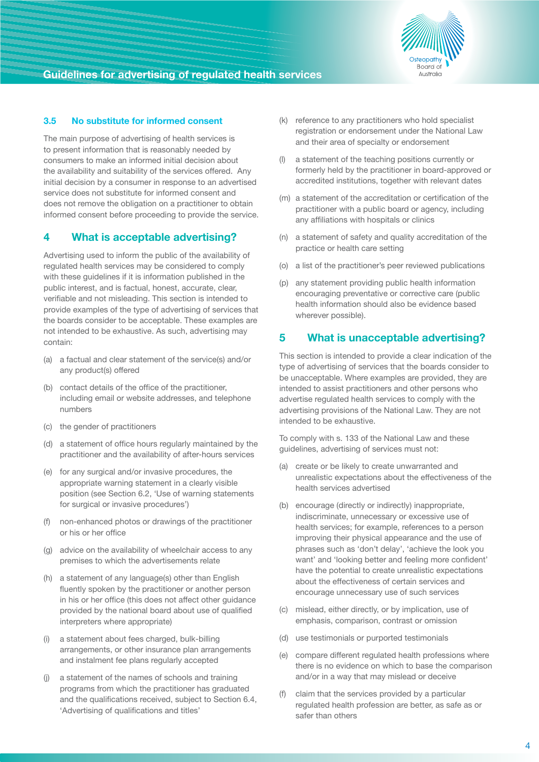

## **3.5 No substitute for informed consent**

The main purpose of advertising of health services is to present information that is reasonably needed by consumers to make an informed initial decision about the availability and suitability of the services offered. Any initial decision by a consumer in response to an advertised service does not substitute for informed consent and does not remove the obligation on a practitioner to obtain informed consent before proceeding to provide the service.

## **4 What is acceptable advertising?**

Advertising used to inform the public of the availability of regulated health services may be considered to comply with these guidelines if it is information published in the public interest, and is factual, honest, accurate, clear, verifiable and not misleading. This section is intended to provide examples of the type of advertising of services that the boards consider to be acceptable. These examples are not intended to be exhaustive. As such, advertising may contain:

- (a) a factual and clear statement of the service(s) and/or any product(s) offered
- (b) contact details of the office of the practitioner, including email or website addresses, and telephone numbers
- (c) the gender of practitioners
- (d) a statement of office hours regularly maintained by the practitioner and the availability of after-hours services
- (e) for any surgical and/or invasive procedures, the appropriate warning statement in a clearly visible position (see Section 6.2, 'Use of warning statements for surgical or invasive procedures')
- (f) non-enhanced photos or drawings of the practitioner or his or her office
- (g) advice on the availability of wheelchair access to any premises to which the advertisements relate
- (h) a statement of any language(s) other than English fluently spoken by the practitioner or another person in his or her office (this does not affect other guidance provided by the national board about use of qualified interpreters where appropriate)
- (i) a statement about fees charged, bulk-billing arrangements, or other insurance plan arrangements and instalment fee plans regularly accepted
- (j) a statement of the names of schools and training programs from which the practitioner has graduated and the qualifications received, subject to Section 6.4, 'Advertising of qualifications and titles'
- (k) reference to any practitioners who hold specialist registration or endorsement under the National Law and their area of specialty or endorsement
- a statement of the teaching positions currently or formerly held by the practitioner in board-approved or accredited institutions, together with relevant dates
- (m) a statement of the accreditation or certification of the practitioner with a public board or agency, including any affiliations with hospitals or clinics
- (n) a statement of safety and quality accreditation of the practice or health care setting
- (o) a list of the practitioner's peer reviewed publications
- (p) any statement providing public health information encouraging preventative or corrective care (public health information should also be evidence based wherever possible).

## **5 What is unacceptable advertising?**

This section is intended to provide a clear indication of the type of advertising of services that the boards consider to be unacceptable. Where examples are provided, they are intended to assist practitioners and other persons who advertise regulated health services to comply with the advertising provisions of the National Law. They are not intended to be exhaustive.

To comply with s. 133 of the National Law and these guidelines, advertising of services must not:

- (a) create or be likely to create unwarranted and unrealistic expectations about the effectiveness of the health services advertised
- (b) encourage (directly or indirectly) inappropriate, indiscriminate, unnecessary or excessive use of health services; for example, references to a person improving their physical appearance and the use of phrases such as 'don't delay', 'achieve the look you want' and 'looking better and feeling more confident' have the potential to create unrealistic expectations about the effectiveness of certain services and encourage unnecessary use of such services
- (c) mislead, either directly, or by implication, use of emphasis, comparison, contrast or omission
- (d) use testimonials or purported testimonials
- (e) compare different regulated health professions where there is no evidence on which to base the comparison and/or in a way that may mislead or deceive
- (f) claim that the services provided by a particular regulated health profession are better, as safe as or safer than others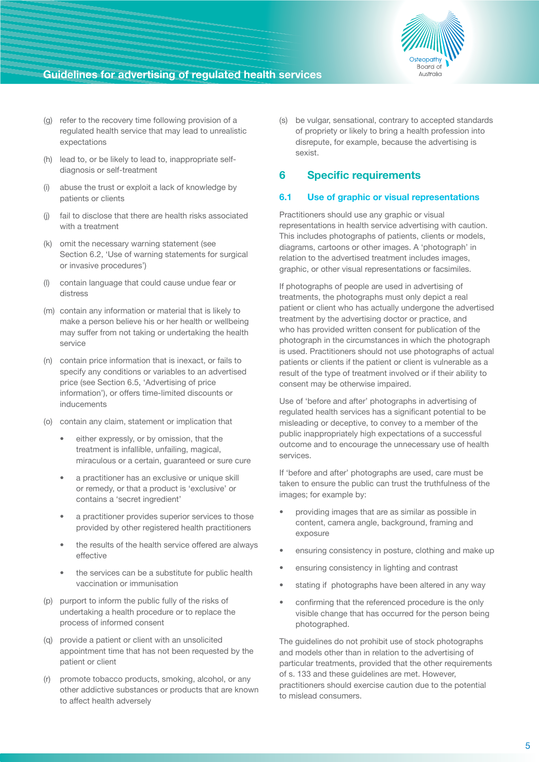

- (g) refer to the recovery time following provision of a regulated health service that may lead to unrealistic expectations
- (h) lead to, or be likely to lead to, inappropriate selfdiagnosis or self-treatment
- (i) abuse the trust or exploit a lack of knowledge by patients or clients
- (j) fail to disclose that there are health risks associated with a treatment
- (k) omit the necessary warning statement (see Section 6.2, 'Use of warning statements for surgical or invasive procedures')
- (l) contain language that could cause undue fear or distress
- (m) contain any information or material that is likely to make a person believe his or her health or wellbeing may suffer from not taking or undertaking the health service
- (n) contain price information that is inexact, or fails to specify any conditions or variables to an advertised price (see Section 6.5, 'Advertising of price information'), or offers time-limited discounts or inducements
- (o) contain any claim, statement or implication that
	- either expressly, or by omission, that the treatment is infallible, unfailing, magical, miraculous or a certain, guaranteed or sure cure
	- a practitioner has an exclusive or unique skill or remedy, or that a product is 'exclusive' or contains a 'secret ingredient'
	- a practitioner provides superior services to those provided by other registered health practitioners
	- the results of the health service offered are always effective
	- the services can be a substitute for public health vaccination or immunisation
- (p) purport to inform the public fully of the risks of undertaking a health procedure or to replace the process of informed consent
- (q) provide a patient or client with an unsolicited appointment time that has not been requested by the patient or client
- (r) promote tobacco products, smoking, alcohol, or any other addictive substances or products that are known to affect health adversely

(s) be vulgar, sensational, contrary to accepted standards of propriety or likely to bring a health profession into disrepute, for example, because the advertising is sexist.

## **6 Specific requirements**

#### **6.1 Use of graphic or visual representations**

Practitioners should use any graphic or visual representations in health service advertising with caution. This includes photographs of patients, clients or models, diagrams, cartoons or other images. A 'photograph' in relation to the advertised treatment includes images, graphic, or other visual representations or facsimiles.

If photographs of people are used in advertising of treatments, the photographs must only depict a real patient or client who has actually undergone the advertised treatment by the advertising doctor or practice, and who has provided written consent for publication of the photograph in the circumstances in which the photograph is used. Practitioners should not use photographs of actual patients or clients if the patient or client is vulnerable as a result of the type of treatment involved or if their ability to consent may be otherwise impaired.

Use of 'before and after' photographs in advertising of regulated health services has a significant potential to be misleading or deceptive, to convey to a member of the public inappropriately high expectations of a successful outcome and to encourage the unnecessary use of health services.

If 'before and after' photographs are used, care must be taken to ensure the public can trust the truthfulness of the images; for example by:

- providing images that are as similar as possible in content, camera angle, background, framing and exposure
- ensuring consistency in posture, clothing and make up
- ensuring consistency in lighting and contrast
- stating if photographs have been altered in any way
- confirming that the referenced procedure is the only visible change that has occurred for the person being photographed.

The guidelines do not prohibit use of stock photographs and models other than in relation to the advertising of particular treatments, provided that the other requirements of s. 133 and these guidelines are met. However, practitioners should exercise caution due to the potential to mislead consumers.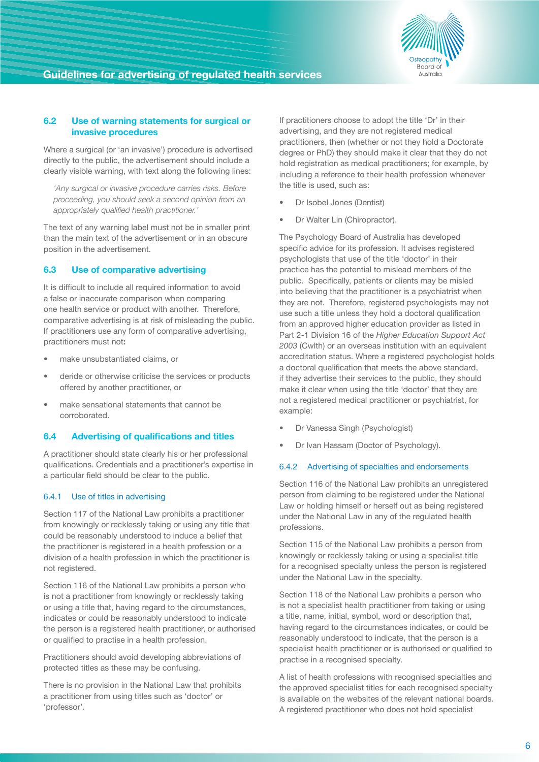

#### **6.2 Use of warning statements for surgical or invasive procedures**

Where a surgical (or 'an invasive') procedure is advertised directly to the public, the advertisement should include a clearly visible warning, with text along the following lines:

*'Any surgical or invasive procedure carries risks. Before proceeding, you should seek a second opinion from an appropriately qualified health practitioner.'*

The text of any warning label must not be in smaller print than the main text of the advertisement or in an obscure position in the advertisement.

#### **6.3 Use of comparative advertising**

It is difficult to include all required information to avoid a false or inaccurate comparison when comparing one health service or product with another. Therefore, comparative advertising is at risk of misleading the public. If practitioners use any form of comparative advertising, practitioners must not**:**

- make unsubstantiated claims, or
- deride or otherwise criticise the services or products offered by another practitioner, or
- make sensational statements that cannot be corroborated.

#### **6.4 Advertising of qualifications and titles**

A practitioner should state clearly his or her professional qualifications. Credentials and a practitioner's expertise in a particular field should be clear to the public.

#### 6.4.1 Use of titles in advertising

Section 117 of the National Law prohibits a practitioner from knowingly or recklessly taking or using any title that could be reasonably understood to induce a belief that the practitioner is registered in a health profession or a division of a health profession in which the practitioner is not registered.

Section 116 of the National Law prohibits a person who is not a practitioner from knowingly or recklessly taking or using a title that, having regard to the circumstances, indicates or could be reasonably understood to indicate the person is a registered health practitioner, or authorised or qualified to practise in a health profession.

Practitioners should avoid developing abbreviations of protected titles as these may be confusing.

There is no provision in the National Law that prohibits a practitioner from using titles such as 'doctor' or 'professor'.

If practitioners choose to adopt the title 'Dr' in their advertising, and they are not registered medical practitioners, then (whether or not they hold a Doctorate degree or PhD) they should make it clear that they do not hold registration as medical practitioners; for example, by including a reference to their health profession whenever the title is used, such as:

- Dr Isobel Jones (Dentist)
- Dr Walter Lin (Chiropractor).

The Psychology Board of Australia has developed specific advice for its profession. It advises registered psychologists that use of the title 'doctor' in their practice has the potential to mislead members of the public. Specifically, patients or clients may be misled into believing that the practitioner is a psychiatrist when they are not. Therefore, registered psychologists may not use such a title unless they hold a doctoral qualification from an approved higher education provider as listed in Part 2-1 Division 16 of the *Higher Education Support Act 2003* (Cwlth) or an overseas institution with an equivalent accreditation status. Where a registered psychologist holds a doctoral qualification that meets the above standard, if they advertise their services to the public, they should make it clear when using the title 'doctor' that they are not a registered medical practitioner or psychiatrist, for example:

- Dr Vanessa Singh (Psychologist)
- Dr Ivan Hassam (Doctor of Psychology).

#### 6.4.2 Advertising of specialties and endorsements

Section 116 of the National Law prohibits an unregistered person from claiming to be registered under the National Law or holding himself or herself out as being registered under the National Law in any of the regulated health professions.

Section 115 of the National Law prohibits a person from knowingly or recklessly taking or using a specialist title for a recognised specialty unless the person is registered under the National Law in the specialty.

Section 118 of the National Law prohibits a person who is not a specialist health practitioner from taking or using a title, name, initial, symbol, word or description that, having regard to the circumstances indicates, or could be reasonably understood to indicate, that the person is a specialist health practitioner or is authorised or qualified to practise in a recognised specialty.

A list of health professions with recognised specialties and the approved specialist titles for each recognised specialty is available on the websites of the relevant national boards. A registered practitioner who does not hold specialist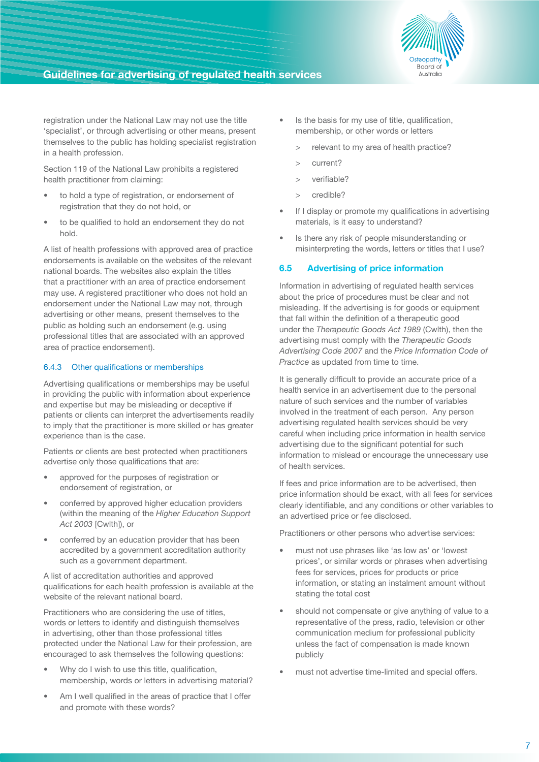

registration under the National Law may not use the title 'specialist', or through advertising or other means, present themselves to the public has holding specialist registration in a health profession.

Section 119 of the National Law prohibits a registered health practitioner from claiming:

- to hold a type of registration, or endorsement of registration that they do not hold, or
- to be qualified to hold an endorsement they do not hold.

A list of health professions with approved area of practice endorsements is available on the websites of the relevant national boards. The websites also explain the titles that a practitioner with an area of practice endorsement may use. A registered practitioner who does not hold an endorsement under the National Law may not, through advertising or other means, present themselves to the public as holding such an endorsement (e.g. using professional titles that are associated with an approved area of practice endorsement).

#### 6.4.3 Other qualifications or memberships

Advertising qualifications or memberships may be useful in providing the public with information about experience and expertise but may be misleading or deceptive if patients or clients can interpret the advertisements readily to imply that the practitioner is more skilled or has greater experience than is the case.

Patients or clients are best protected when practitioners advertise only those qualifications that are:

- approved for the purposes of registration or endorsement of registration, or
- conferred by approved higher education providers (within the meaning of the *Higher Education Support Act 2003* [Cwlth]), or
- conferred by an education provider that has been accredited by a government accreditation authority such as a government department.

A list of accreditation authorities and approved qualifications for each health profession is available at the website of the relevant national board.

Practitioners who are considering the use of titles, words or letters to identify and distinguish themselves in advertising, other than those professional titles protected under the National Law for their profession, are encouraged to ask themselves the following questions:

- Why do I wish to use this title, qualification, membership, words or letters in advertising material?
- Am I well qualified in the areas of practice that I offer and promote with these words?
- Is the basis for my use of title, qualification, membership, or other words or letters
	- > relevant to my area of health practice?
	- > current?
	- > verifiable?
	- > credible?
- If I display or promote my qualifications in advertising materials, is it easy to understand?
- Is there any risk of people misunderstanding or misinterpreting the words, letters or titles that I use?

#### **6.5 Advertising of price information**

Information in advertising of regulated health services about the price of procedures must be clear and not misleading. If the advertising is for goods or equipment that fall within the definition of a therapeutic good under the *Therapeutic Goods Act 1989* (Cwlth), then the advertising must comply with the *Therapeutic Goods Advertising Code 2007* and the *Price Information Code of Practice* as updated from time to time.

It is generally difficult to provide an accurate price of a health service in an advertisement due to the personal nature of such services and the number of variables involved in the treatment of each person. Any person advertising regulated health services should be very careful when including price information in health service advertising due to the significant potential for such information to mislead or encourage the unnecessary use of health services.

If fees and price information are to be advertised, then price information should be exact, with all fees for services clearly identifiable, and any conditions or other variables to an advertised price or fee disclosed.

Practitioners or other persons who advertise services:

- must not use phrases like 'as low as' or 'lowest prices', or similar words or phrases when advertising fees for services, prices for products or price information, or stating an instalment amount without stating the total cost
- should not compensate or give anything of value to a representative of the press, radio, television or other communication medium for professional publicity unless the fact of compensation is made known publicly
- must not advertise time-limited and special offers.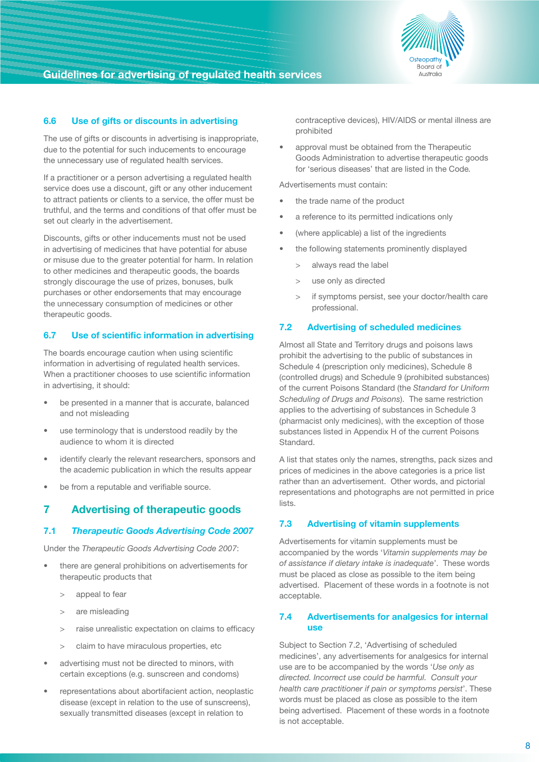

## **6.6 Use of gifts or discounts in advertising**

The use of gifts or discounts in advertising is inappropriate, due to the potential for such inducements to encourage the unnecessary use of regulated health services.

If a practitioner or a person advertising a regulated health service does use a discount, gift or any other inducement to attract patients or clients to a service, the offer must be truthful, and the terms and conditions of that offer must be set out clearly in the advertisement.

Discounts, gifts or other inducements must not be used in advertising of medicines that have potential for abuse or misuse due to the greater potential for harm. In relation to other medicines and therapeutic goods, the boards strongly discourage the use of prizes, bonuses, bulk purchases or other endorsements that may encourage the unnecessary consumption of medicines or other therapeutic goods.

## **6.7 Use of scientific information in advertising**

The boards encourage caution when using scientific information in advertising of regulated health services. When a practitioner chooses to use scientific information in advertising, it should:

- be presented in a manner that is accurate, balanced and not misleading
- use terminology that is understood readily by the audience to whom it is directed
- identify clearly the relevant researchers, sponsors and the academic publication in which the results appear
- be from a reputable and verifiable source.

## **7 Advertising of therapeutic goods**

## **7.1** *Therapeutic Goods Advertising Code 2007*

Under the *Therapeutic Goods Advertising Code 2007*:

- there are general prohibitions on advertisements for therapeutic products that
	- > appeal to fear
	- > are misleading
	- > raise unrealistic expectation on claims to efficacy
	- > claim to have miraculous properties, etc
- advertising must not be directed to minors, with certain exceptions (e.g. sunscreen and condoms)
- representations about abortifacient action, neoplastic disease (except in relation to the use of sunscreens), sexually transmitted diseases (except in relation to

contraceptive devices), HIV/AIDS or mental illness are prohibited

approval must be obtained from the Therapeutic Goods Administration to advertise therapeutic goods for 'serious diseases' that are listed in the Code*.*

Advertisements must contain:

- the trade name of the product
- a reference to its permitted indications only
- (where applicable) a list of the ingredients
- the following statements prominently displayed
	- > always read the label
	- > use only as directed
	- > if symptoms persist, see your doctor/health care professional.

#### **7.2 Advertising of scheduled medicines**

Almost all State and Territory drugs and poisons laws prohibit the advertising to the public of substances in Schedule 4 (prescription only medicines), Schedule 8 (controlled drugs) and Schedule 9 (prohibited substances) of the current Poisons Standard (the *Standard for Uniform Scheduling of Drugs and Poisons*). The same restriction applies to the advertising of substances in Schedule 3 (pharmacist only medicines), with the exception of those substances listed in Appendix H of the current Poisons Standard.

A list that states only the names, strengths, pack sizes and prices of medicines in the above categories is a price list rather than an advertisement. Other words, and pictorial representations and photographs are not permitted in price lists.

#### **7.3 Advertising of vitamin supplements**

Advertisements for vitamin supplements must be accompanied by the words '*Vitamin supplements may be of assistance if dietary intake is inadequate*'. These words must be placed as close as possible to the item being advertised. Placement of these words in a footnote is not acceptable.

#### **7.4 Advertisements for analgesics for internal use**

Subject to Section 7.2, 'Advertising of scheduled medicines', any advertisements for analgesics for internal use are to be accompanied by the words '*Use only as directed. Incorrect use could be harmful. Consult your health care practitioner if pain or symptoms persist*'. These words must be placed as close as possible to the item being advertised. Placement of these words in a footnote is not acceptable.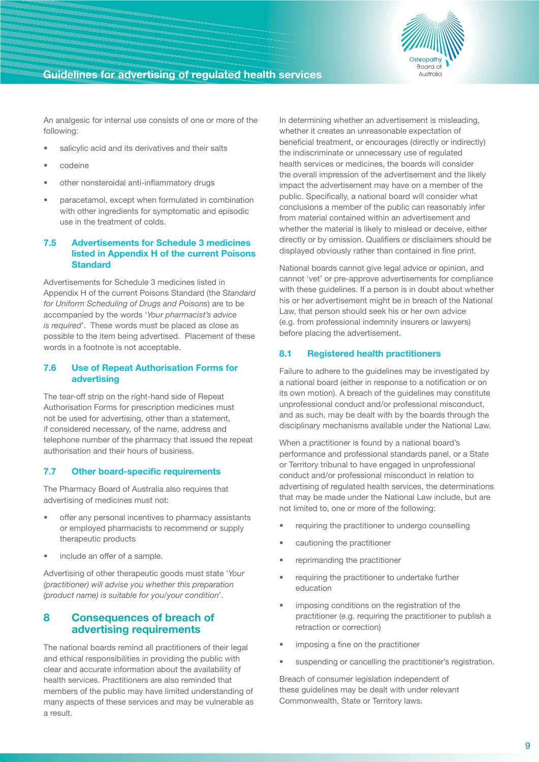

An analgesic for internal use consists of one or more of the following:

- salicylic acid and its derivatives and their salts
- • codeine
- other nonsteroidal anti-inflammatory drugs
- paracetamol, except when formulated in combination with other ingredients for symptomatic and episodic use in the treatment of colds.

#### **7.5 Advertisements for Schedule 3 medicines listed in Appendix H of the current Poisons Standard**

Advertisements for Schedule 3 medicines listed in Appendix H of the current Poisons Standard (the S*tandard for Uniform Scheduling of Drugs and Poisons*) are to be accompanied by the words '*Your pharmacist's advice is required*'. These words must be placed as close as possible to the item being advertised. Placement of these words in a footnote is not acceptable.

#### **7.6 Use of Repeat Authorisation Forms for advertising**

The tear-off strip on the right-hand side of Repeat Authorisation Forms for prescription medicines must not be used for advertising, other than a statement, if considered necessary, of the name, address and telephone number of the pharmacy that issued the repeat authorisation and their hours of business.

#### **7.7 Other board-specific requirements**

The Pharmacy Board of Australia also requires that advertising of medicines must not:

- offer any personal incentives to pharmacy assistants or employed pharmacists to recommend or supply therapeutic products
- include an offer of a sample.

Advertising of other therapeutic goods must state '*Your (practitioner) will advise you whether this preparation (product name) is suitable for you/your condition*'.

## **8 Consequences of breach of advertising requirements**

The national boards remind all practitioners of their legal and ethical responsibilities in providing the public with clear and accurate information about the availability of health services. Practitioners are also reminded that members of the public may have limited understanding of many aspects of these services and may be vulnerable as a result.

In determining whether an advertisement is misleading, whether it creates an unreasonable expectation of beneficial treatment, or encourages (directly or indirectly) the indiscriminate or unnecessary use of regulated health services or medicines, the boards will consider the overall impression of the advertisement and the likely impact the advertisement may have on a member of the public. Specifically, a national board will consider what conclusions a member of the public can reasonably infer from material contained within an advertisement and whether the material is likely to mislead or deceive, either directly or by omission. Qualifiers or disclaimers should be displayed obviously rather than contained in fine print.

National boards cannot give legal advice or opinion, and cannot 'vet' or pre-approve advertisements for compliance with these guidelines. If a person is in doubt about whether his or her advertisement might be in breach of the National Law, that person should seek his or her own advice (e.g. from professional indemnity insurers or lawyers) before placing the advertisement.

## **8.1 Registered health practitioners**

Failure to adhere to the guidelines may be investigated by a national board (either in response to a notification or on its own motion). A breach of the guidelines may constitute unprofessional conduct and/or professional misconduct, and as such, may be dealt with by the boards through the disciplinary mechanisms available under the National Law.

When a practitioner is found by a national board's performance and professional standards panel, or a State or Territory tribunal to have engaged in unprofessional conduct and/or professional misconduct in relation to advertising of regulated health services, the determinations that may be made under the National Law include, but are not limited to, one or more of the following:

- requiring the practitioner to undergo counselling
- cautioning the practitioner
- reprimanding the practitioner
- requiring the practitioner to undertake further education
- imposing conditions on the registration of the practitioner (e.g. requiring the practitioner to publish a retraction or correction)
- imposing a fine on the practitioner
- suspending or cancelling the practitioner's registration.

Breach of consumer legislation independent of these guidelines may be dealt with under relevant Commonwealth, State or Territory laws.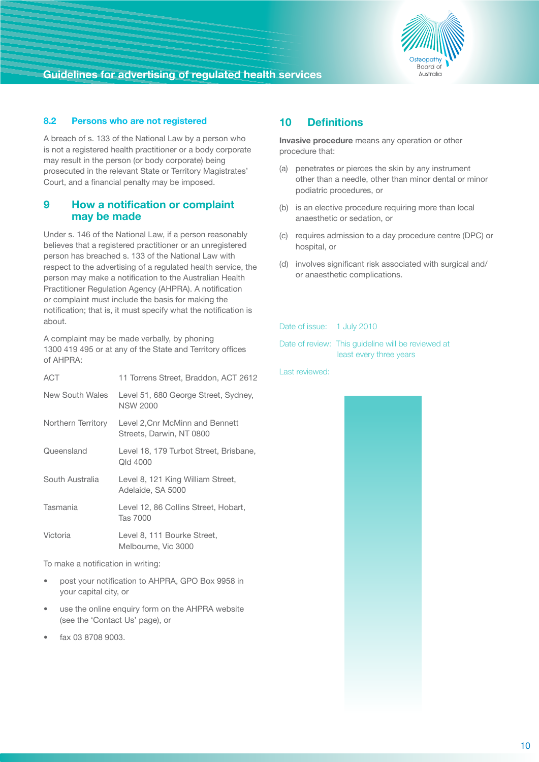

## **8.2 Persons who are not registered**

A breach of s. 133 of the National Law by a person who is not a registered health practitioner or a body corporate may result in the person (or body corporate) being prosecuted in the relevant State or Territory Magistrates' Court, and a financial penalty may be imposed.

## **9 How a notification or complaint may be made**

Under s. 146 of the National Law, if a person reasonably believes that a registered practitioner or an unregistered person has breached s. 133 of the National Law with respect to the advertising of a regulated health service, the person may make a notification to the Australian Health Practitioner Regulation Agency (AHPRA). A notification or complaint must include the basis for making the notification; that is, it must specify what the notification is about.

A complaint may be made verbally, by phoning 1300 419 495 or at any of the State and Territory offices of AHPRA:

| <b>ACT</b>         | 11 Torrens Street, Braddon, ACT 2612                        |
|--------------------|-------------------------------------------------------------|
| New South Wales    | Level 51, 680 George Street, Sydney,<br><b>NSW 2000</b>     |
| Northern Territory | Level 2, Cnr McMinn and Bennett<br>Streets, Darwin, NT 0800 |
| Queensland         | Level 18, 179 Turbot Street, Brisbane,<br>Qld 4000          |
| South Australia    | Level 8, 121 King William Street,<br>Adelaide, SA 5000      |
| Tasmania           | Level 12, 86 Collins Street, Hobart,<br>Tas 7000            |
| Victoria           | Level 8, 111 Bourke Street,<br>Melbourne, Vic 3000          |

To make a notification in writing:

- post your notification to AHPRA, GPO Box 9958 in your capital city, or
- use the online enquiry form on the AHPRA website (see the 'Contact Us' page), or
- fax 03 8708 9003.

## **10 Definitions**

**Invasive procedure** means any operation or other procedure that:

- (a) penetrates or pierces the skin by any instrument other than a needle, other than minor dental or minor podiatric procedures, or
- (b) is an elective procedure requiring more than local anaesthetic or sedation, or
- (c) requires admission to a day procedure centre (DPC) or hospital, or
- (d) involves significant risk associated with surgical and/ or anaesthetic complications.

#### Date of issue: 1 July 2010

| Date of review: This quideline will be reviewed at |
|----------------------------------------------------|
| least every three years                            |

Last reviewed:

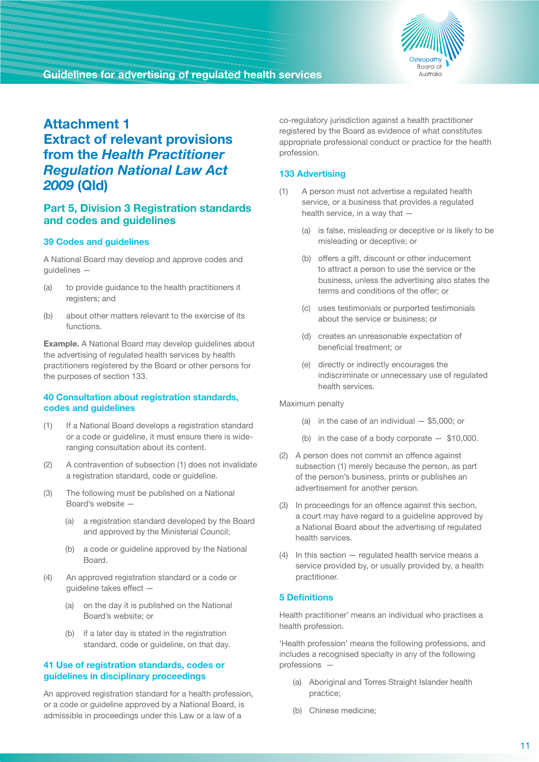

## **Attachment 1 Extract of relevant provisions from the** *Health Practitioner Regulation National Law Act 2009* **(Qld)**

## **Part 5, Division 3 Registration standards and codes and guidelines**

#### **39 Codes and guidelines**

A National Board may develop and approve codes and guidelines —

- (a) to provide guidance to the health practitioners it registers; and
- (b) about other matters relevant to the exercise of its functions.

**Example.** A National Board may develop guidelines about the advertising of regulated health services by health practitioners registered by the Board or other persons for the purposes of section 133.

#### **40 Consultation about registration standards, codes and guidelines**

- (1) If a National Board develops a registration standard or a code or guideline, it must ensure there is wideranging consultation about its content.
- (2) A contravention of subsection (1) does not invalidate a registration standard, code or guideline.
- (3) The following must be published on a National Board's website —
	- (a) a registration standard developed by the Board and approved by the Ministerial Council;
	- (b) a code or guideline approved by the National Board.
- (4) An approved registration standard or a code or guideline takes effect —
	- (a) on the day it is published on the National Board's website; or
	- (b) if a later day is stated in the registration standard, code or guideline, on that day.

#### **41 Use of registration standards, codes or guidelines in disciplinary proceedings**

An approved registration standard for a health profession, or a code or guideline approved by a National Board, is admissible in proceedings under this Law or a law of a

co-regulatory jurisdiction against a health practitioner registered by the Board as evidence of what constitutes appropriate professional conduct or practice for the health profession.

## **133 Advertising**

- (1) A person must not advertise a regulated health service, or a business that provides a regulated health service, in a way that —
	- (a) is false, misleading or deceptive or is likely to be misleading or deceptive; or
	- (b) offers a gift, discount or other inducement to attract a person to use the service or the business, unless the advertising also states the terms and conditions of the offer; or
	- (c) uses testimonials or purported testimonials about the service or business; or
	- (d) creates an unreasonable expectation of beneficial treatment; or
	- (e) directly or indirectly encourages the indiscriminate or unnecessary use of regulated health services.

Maximum penalty

- (a) in the case of an individual  $-$  \$5,000; or
- (b) in the case of a body corporate \$10,000.
- (2) A person does not commit an offence against subsection (1) merely because the person, as part of the person's business, prints or publishes an advertisement for another person.
- (3) In proceedings for an offence against this section, a court may have regard to a guideline approved by a National Board about the advertising of regulated health services.
- (4) In this section regulated health service means a service provided by, or usually provided by, a health practitioner.

#### **5 Definitions**

Health practitioner' means an individual who practises a health profession.

'Health profession' means the following professions, and includes a recognised specialty in any of the following professions —

- (a) Aboriginal and Torres Straight Islander health practice;
- (b) Chinese medicine;